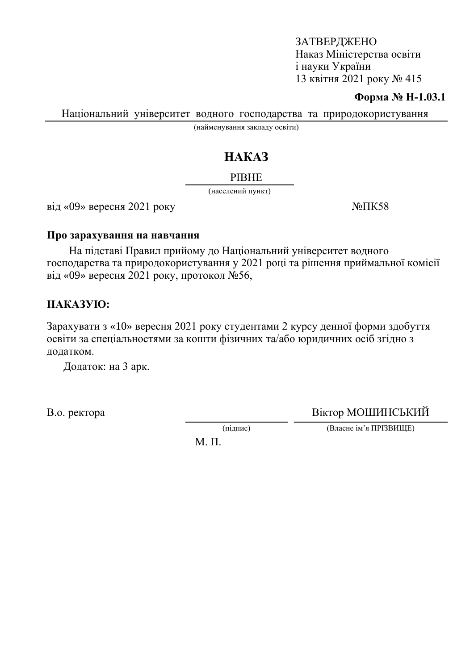### ЗАТВЕРДЖЕНО Наказ Міністерства освіти i науки України 13 квітня 2021 року № 415

#### **Форма № Н-1.03.1**

Національний університет водного господарства та природокористування

(найменування закладу освіти)

# HAKA3

#### **PIBHE**

(населений пункт)

 $\overline{B}$ ыд «09» вересня 2021 року  $\overline{N}$ <sup>o</sup> $\overline{I}$ K58

#### Про зарахування на навчання

На підставі Правил прийому до Національний університет водного господарства та природокористування у 2021 році та рішення приймальної комісії від «09» вересня 2021 року, протокол №56,

### HAKA3YIO:

Зарахувати з «10» вересня 2021 року студентами 2 курсу денної форми здобуття освіти за спеціальностями за кошти фізичних та/або юридичних осіб згідно з додатком.

Додаток: на 3 арк.

В.о. ректора Віктор МОШИНСЬКИЙ

(підпис) (Власне ім'я ПРІЗВИЩЕ)

М. П.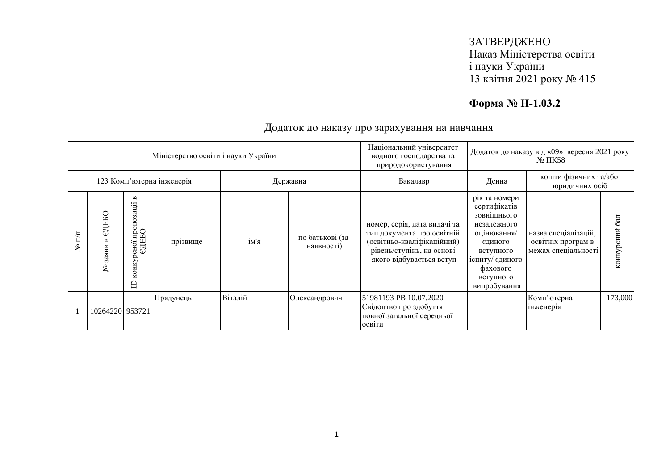## ЗАТВЕРДЖЕНО Наказ Міністерства освіти і науки України 13 квітня 2021 року № 415

# **Форма № Н-1.03.2**

| Міністерство освіти і науки України |                    |                                                 |           |          |                               | Національний університет<br>водного господарства та<br>природокористування                                                                        | Додаток до наказу від «09» вересня 2021 року<br>$N2 \Pi K58$                                                                                                   |                                                                   |                               |
|-------------------------------------|--------------------|-------------------------------------------------|-----------|----------|-------------------------------|---------------------------------------------------------------------------------------------------------------------------------------------------|----------------------------------------------------------------------------------------------------------------------------------------------------------------|-------------------------------------------------------------------|-------------------------------|
| 123 Комп'ютерна інженерія           |                    |                                                 |           | Державна |                               | Бакалавр                                                                                                                                          | кошти фізичних та/або<br>Денна<br>юридичних осіб                                                                                                               |                                                                   |                               |
| $\mathbb{H}$<br>ع                   | ДЕБО<br>заяви<br>٤ | B<br>осної пропозиції і<br>ЄДЕБО<br>конкур<br>≘ | прізвище  | ім'я     | по батькові (за<br>наявності) | номер, серія, дата видачі та<br>тип документа про освітній<br>(освітньо-кваліфікаційний)<br>рівень/ступінь, на основі<br>якого відбувається вступ | рік та номери<br>сертифікатів<br>зовнішнього<br>незалежного<br>оцінювання/<br>єдиного<br>вступного<br>іспиту/ єдиного<br>фахового<br>вступного<br>випробування | назва спеціалізацій,<br>освітніх програм в<br>межах спеціальності | $\overline{6a}$<br>конкурсний |
|                                     | 10264220 953721    |                                                 | Прядунець | Віталій  | Олександрович                 | 51981193 PB 10.07.2020<br>Свідоцтво про здобуття<br>повної загальної середньої<br>освіти                                                          |                                                                                                                                                                | Комп'ютерна<br>інженерія                                          | 173,000                       |

### Додаток до наказу про зарахування на навчання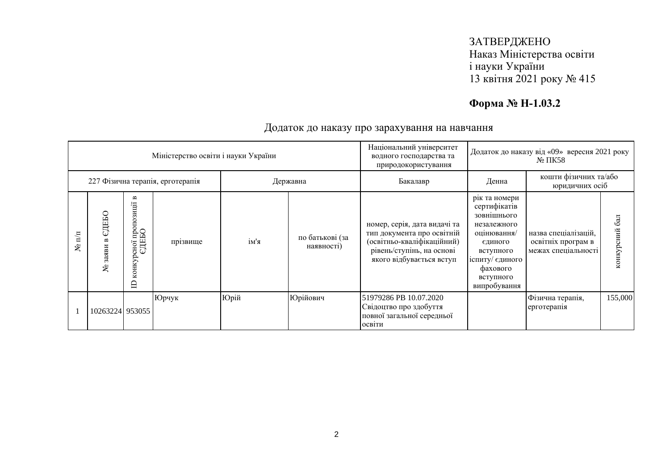## ЗАТВЕРДЖЕНО Наказ Міністерства освіти і науки України 13 квітня 2021 року № 415

# **Форма № Н-1.03.2**

| Міністерство освіти і науки України |                         |                                              |          |          | Національний університет<br>водного господарства та<br>природокористування | Додаток до наказу від «09» вересня 2021 року<br>$\mathbb{N}^{\circ}$ TIK58                                                                        |                                                                                                                                                                |                                                                   |                  |
|-------------------------------------|-------------------------|----------------------------------------------|----------|----------|----------------------------------------------------------------------------|---------------------------------------------------------------------------------------------------------------------------------------------------|----------------------------------------------------------------------------------------------------------------------------------------------------------------|-------------------------------------------------------------------|------------------|
| 227 Фізична терапія, ерготерапія    |                         |                                              |          | Державна |                                                                            | Бакалавр                                                                                                                                          | кошти фізичних та/або<br>Денна<br>юридичних осіб                                                                                                               |                                                                   |                  |
| $\overline{\mathbf{h}}$<br>g        | ДЕБО<br>ω<br>заяви<br>ع | B<br>сної пропозиції<br>ЄДЕБО<br>конкур<br>白 | прізвище | ім'я     | по батькові (за<br>наявності)                                              | номер, серія, дата видачі та<br>тип документа про освітній<br>(освітньо-кваліфікаційний)<br>рівень/ступінь, на основі<br>якого відбувається вступ | рік та номери<br>сертифікатів<br>зовнішнього<br>незалежного<br>оцінювання/<br>єдиного<br>вступного<br>іспиту/ єдиного<br>фахового<br>вступного<br>випробування | назва спеціалізацій,<br>освітніх програм в<br>межах спеціальності | 6a<br>конкурсний |
|                                     | 10263224 953055         |                                              | Юрчук    | Юрій     | Юрійович                                                                   | 51979286 PB 10.07.2020<br>Свідоцтво про здобуття<br>повної загальної середньої<br>освіти                                                          |                                                                                                                                                                | Фізична терапія,<br>ерготерапія                                   | 155,000          |

### Додаток до наказу про зарахування на навчання